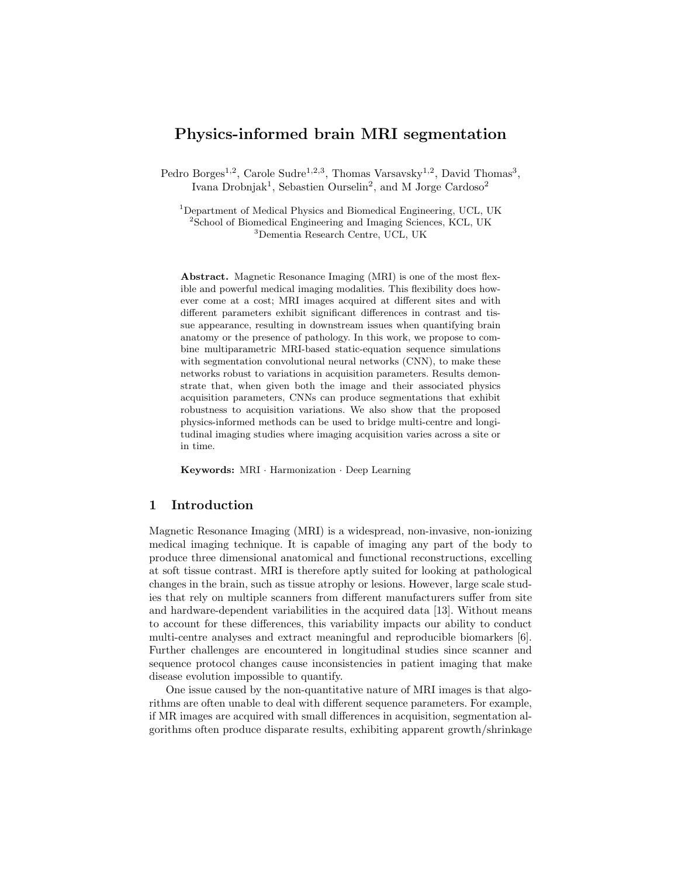# Physics-informed brain MRI segmentation

Pedro Borges<sup>1,2</sup>, Carole Sudre<sup>1,2,3</sup>, Thomas Varsavsky<sup>1,2</sup>, David Thomas<sup>3</sup>, Ivana Drobnjak<sup>1</sup>, Sebastien Ourselin<sup>2</sup>, and M Jorge Cardoso<sup>2</sup>

<sup>1</sup>Department of Medical Physics and Biomedical Engineering, UCL, UK <sup>2</sup>School of Biomedical Engineering and Imaging Sciences, KCL, UK <sup>3</sup>Dementia Research Centre, UCL, UK

Abstract. Magnetic Resonance Imaging (MRI) is one of the most flexible and powerful medical imaging modalities. This flexibility does however come at a cost; MRI images acquired at different sites and with different parameters exhibit significant differences in contrast and tissue appearance, resulting in downstream issues when quantifying brain anatomy or the presence of pathology. In this work, we propose to combine multiparametric MRI-based static-equation sequence simulations with segmentation convolutional neural networks (CNN), to make these networks robust to variations in acquisition parameters. Results demonstrate that, when given both the image and their associated physics acquisition parameters, CNNs can produce segmentations that exhibit robustness to acquisition variations. We also show that the proposed physics-informed methods can be used to bridge multi-centre and longitudinal imaging studies where imaging acquisition varies across a site or in time.

Keywords: MRI · Harmonization · Deep Learning

## 1 Introduction

Magnetic Resonance Imaging (MRI) is a widespread, non-invasive, non-ionizing medical imaging technique. It is capable of imaging any part of the body to produce three dimensional anatomical and functional reconstructions, excelling at soft tissue contrast. MRI is therefore aptly suited for looking at pathological changes in the brain, such as tissue atrophy or lesions. However, large scale studies that rely on multiple scanners from different manufacturers suffer from site and hardware-dependent variabilities in the acquired data [13]. Without means to account for these differences, this variability impacts our ability to conduct multi-centre analyses and extract meaningful and reproducible biomarkers [6]. Further challenges are encountered in longitudinal studies since scanner and sequence protocol changes cause inconsistencies in patient imaging that make disease evolution impossible to quantify.

One issue caused by the non-quantitative nature of MRI images is that algorithms are often unable to deal with different sequence parameters. For example, if MR images are acquired with small differences in acquisition, segmentation algorithms often produce disparate results, exhibiting apparent growth/shrinkage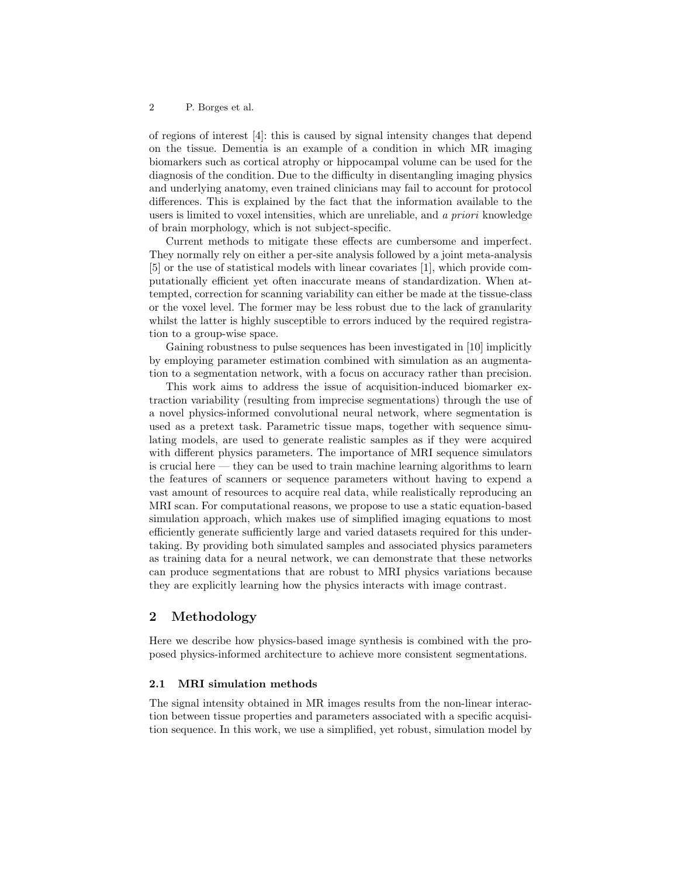of regions of interest [4]: this is caused by signal intensity changes that depend on the tissue. Dementia is an example of a condition in which MR imaging biomarkers such as cortical atrophy or hippocampal volume can be used for the diagnosis of the condition. Due to the difficulty in disentangling imaging physics and underlying anatomy, even trained clinicians may fail to account for protocol differences. This is explained by the fact that the information available to the users is limited to voxel intensities, which are unreliable, and a priori knowledge of brain morphology, which is not subject-specific.

Current methods to mitigate these effects are cumbersome and imperfect. They normally rely on either a per-site analysis followed by a joint meta-analysis [5] or the use of statistical models with linear covariates [1], which provide computationally efficient yet often inaccurate means of standardization. When attempted, correction for scanning variability can either be made at the tissue-class or the voxel level. The former may be less robust due to the lack of granularity whilst the latter is highly susceptible to errors induced by the required registration to a group-wise space.

Gaining robustness to pulse sequences has been investigated in [10] implicitly by employing parameter estimation combined with simulation as an augmentation to a segmentation network, with a focus on accuracy rather than precision.

This work aims to address the issue of acquisition-induced biomarker extraction variability (resulting from imprecise segmentations) through the use of a novel physics-informed convolutional neural network, where segmentation is used as a pretext task. Parametric tissue maps, together with sequence simulating models, are used to generate realistic samples as if they were acquired with different physics parameters. The importance of MRI sequence simulators is crucial here — they can be used to train machine learning algorithms to learn the features of scanners or sequence parameters without having to expend a vast amount of resources to acquire real data, while realistically reproducing an MRI scan. For computational reasons, we propose to use a static equation-based simulation approach, which makes use of simplified imaging equations to most efficiently generate sufficiently large and varied datasets required for this undertaking. By providing both simulated samples and associated physics parameters as training data for a neural network, we can demonstrate that these networks can produce segmentations that are robust to MRI physics variations because they are explicitly learning how the physics interacts with image contrast.

## 2 Methodology

Here we describe how physics-based image synthesis is combined with the proposed physics-informed architecture to achieve more consistent segmentations.

### 2.1 MRI simulation methods

The signal intensity obtained in MR images results from the non-linear interaction between tissue properties and parameters associated with a specific acquisition sequence. In this work, we use a simplified, yet robust, simulation model by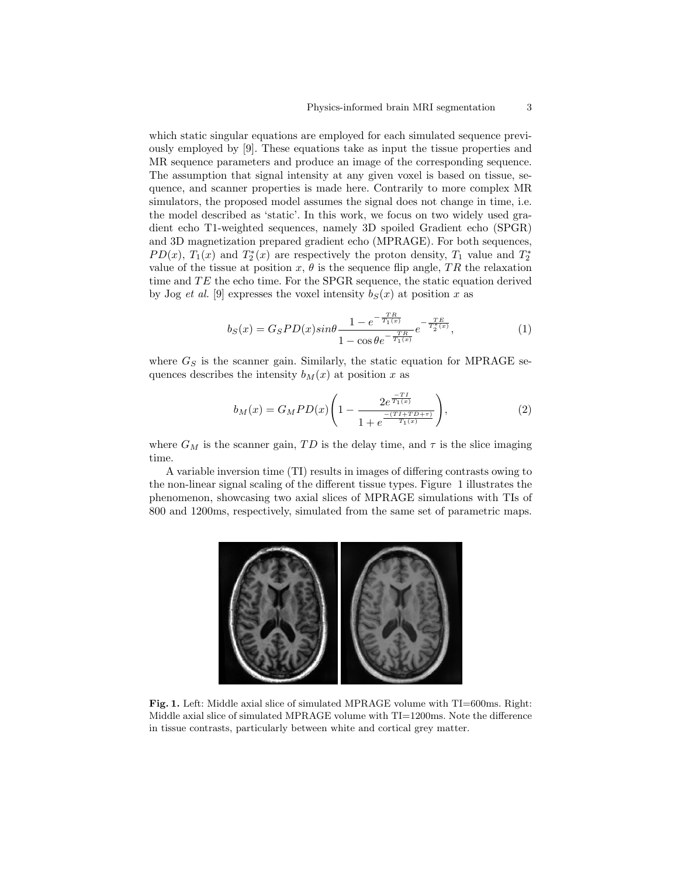which static singular equations are employed for each simulated sequence previously employed by [9]. These equations take as input the tissue properties and MR sequence parameters and produce an image of the corresponding sequence. The assumption that signal intensity at any given voxel is based on tissue, sequence, and scanner properties is made here. Contrarily to more complex MR simulators, the proposed model assumes the signal does not change in time, i.e. the model described as 'static'. In this work, we focus on two widely used gradient echo T1-weighted sequences, namely 3D spoiled Gradient echo (SPGR) and 3D magnetization prepared gradient echo (MPRAGE). For both sequences,  $PD(x)$ ,  $T_1(x)$  and  $T_2^*(x)$  are respectively the proton density,  $T_1$  value and  $T_2^*$ value of the tissue at position x,  $\theta$  is the sequence flip angle, TR the relaxation time and  $TE$  the echo time. For the SPGR sequence, the static equation derived by Jog et al. [9] expresses the voxel intensity  $b_S(x)$  at position x as

$$
b_S(x) = G_S P D(x) sin \theta \frac{1 - e^{-\frac{TR}{T_1(x)}}}{1 - \cos \theta e^{-\frac{TR}{T_1(x)}}} e^{-\frac{TE}{T_2^*(x)}},
$$
(1)

where  $G<sub>S</sub>$  is the scanner gain. Similarly, the static equation for MPRAGE sequences describes the intensity  $b_M(x)$  at position x as

$$
b_M(x) = G_M PD(x) \left( 1 - \frac{2e^{\frac{-TI}{T_1(x)}}}{1 + e^{\frac{-(TI+TD+\tau)}{T_1(x)}}} \right),
$$
\n(2)

where  $G_M$  is the scanner gain, TD is the delay time, and  $\tau$  is the slice imaging time.

A variable inversion time (TI) results in images of differing contrasts owing to the non-linear signal scaling of the different tissue types. Figure 1 illustrates the phenomenon, showcasing two axial slices of MPRAGE simulations with TIs of 800 and 1200ms, respectively, simulated from the same set of parametric maps.



Fig. 1. Left: Middle axial slice of simulated MPRAGE volume with TI=600ms. Right: Middle axial slice of simulated MPRAGE volume with TI=1200ms. Note the difference in tissue contrasts, particularly between white and cortical grey matter.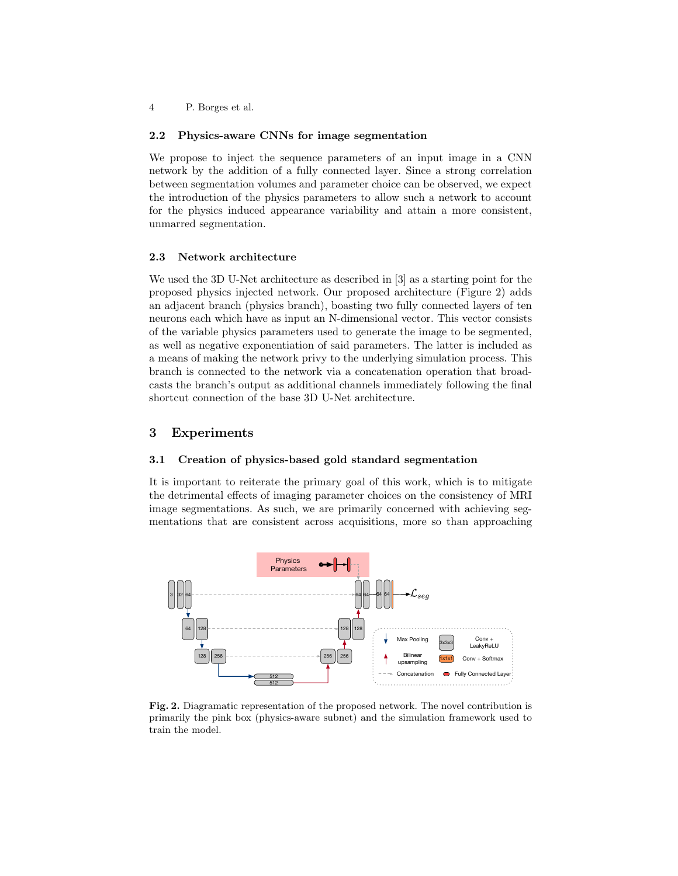#### 2.2 Physics-aware CNNs for image segmentation

We propose to inject the sequence parameters of an input image in a CNN network by the addition of a fully connected layer. Since a strong correlation between segmentation volumes and parameter choice can be observed, we expect the introduction of the physics parameters to allow such a network to account for the physics induced appearance variability and attain a more consistent, unmarred segmentation.

#### 2.3 Network architecture

We used the 3D U-Net architecture as described in [3] as a starting point for the proposed physics injected network. Our proposed architecture (Figure 2) adds an adjacent branch (physics branch), boasting two fully connected layers of ten neurons each which have as input an N-dimensional vector. This vector consists of the variable physics parameters used to generate the image to be segmented, as well as negative exponentiation of said parameters. The latter is included as a means of making the network privy to the underlying simulation process. This branch is connected to the network via a concatenation operation that broadcasts the branch's output as additional channels immediately following the final shortcut connection of the base 3D U-Net architecture.

## 3 Experiments

### 3.1 Creation of physics-based gold standard segmentation

It is important to reiterate the primary goal of this work, which is to mitigate the detrimental effects of imaging parameter choices on the consistency of MRI image segmentations. As such, we are primarily concerned with achieving segmentations that are consistent across acquisitions, more so than approaching



Fig. 2. Diagramatic representation of the proposed network. The novel contribution is primarily the pink box (physics-aware subnet) and the simulation framework used to train the model.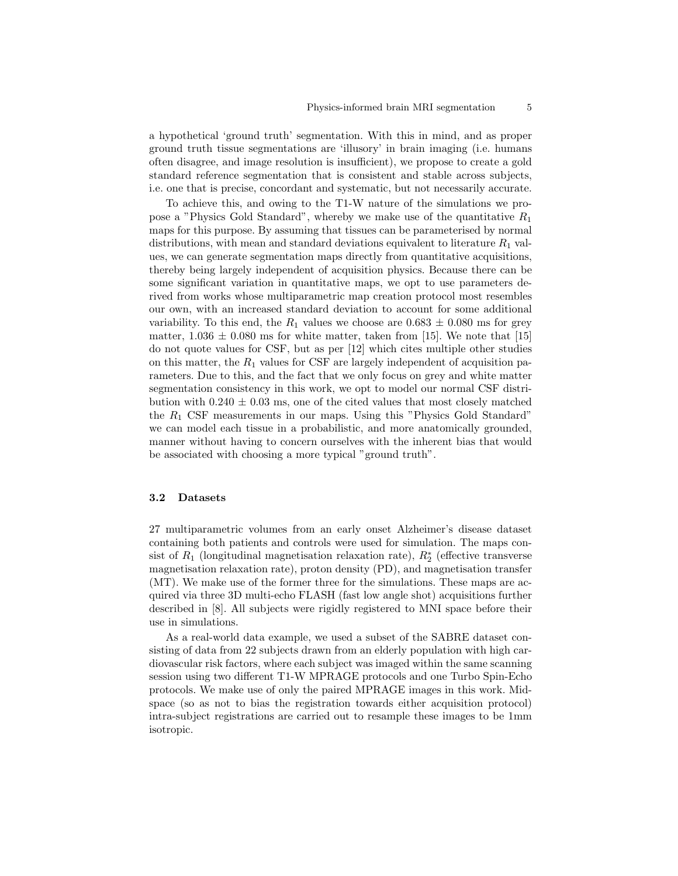a hypothetical 'ground truth' segmentation. With this in mind, and as proper ground truth tissue segmentations are 'illusory' in brain imaging (i.e. humans often disagree, and image resolution is insufficient), we propose to create a gold standard reference segmentation that is consistent and stable across subjects, i.e. one that is precise, concordant and systematic, but not necessarily accurate.

To achieve this, and owing to the T1-W nature of the simulations we propose a "Physics Gold Standard", whereby we make use of the quantitative  $R_1$ maps for this purpose. By assuming that tissues can be parameterised by normal distributions, with mean and standard deviations equivalent to literature  $R_1$  values, we can generate segmentation maps directly from quantitative acquisitions, thereby being largely independent of acquisition physics. Because there can be some significant variation in quantitative maps, we opt to use parameters derived from works whose multiparametric map creation protocol most resembles our own, with an increased standard deviation to account for some additional variability. To this end, the  $R_1$  values we choose are  $0.683 \pm 0.080$  ms for grey matter,  $1.036 \pm 0.080$  ms for white matter, taken from [15]. We note that [15] do not quote values for CSF, but as per [12] which cites multiple other studies on this matter, the  $R_1$  values for CSF are largely independent of acquisition parameters. Due to this, and the fact that we only focus on grey and white matter segmentation consistency in this work, we opt to model our normal CSF distribution with  $0.240 \pm 0.03$  ms, one of the cited values that most closely matched the  $R_1$  CSF measurements in our maps. Using this "Physics Gold Standard" we can model each tissue in a probabilistic, and more anatomically grounded, manner without having to concern ourselves with the inherent bias that would be associated with choosing a more typical "ground truth".

### 3.2 Datasets

27 multiparametric volumes from an early onset Alzheimer's disease dataset containing both patients and controls were used for simulation. The maps consist of  $R_1$  (longitudinal magnetisation relaxation rate),  $R_2^*$  (effective transverse magnetisation relaxation rate), proton density (PD), and magnetisation transfer (MT). We make use of the former three for the simulations. These maps are acquired via three 3D multi-echo FLASH (fast low angle shot) acquisitions further described in [8]. All subjects were rigidly registered to MNI space before their use in simulations.

As a real-world data example, we used a subset of the SABRE dataset consisting of data from 22 subjects drawn from an elderly population with high cardiovascular risk factors, where each subject was imaged within the same scanning session using two different T1-W MPRAGE protocols and one Turbo Spin-Echo protocols. We make use of only the paired MPRAGE images in this work. Midspace (so as not to bias the registration towards either acquisition protocol) intra-subject registrations are carried out to resample these images to be 1mm isotropic.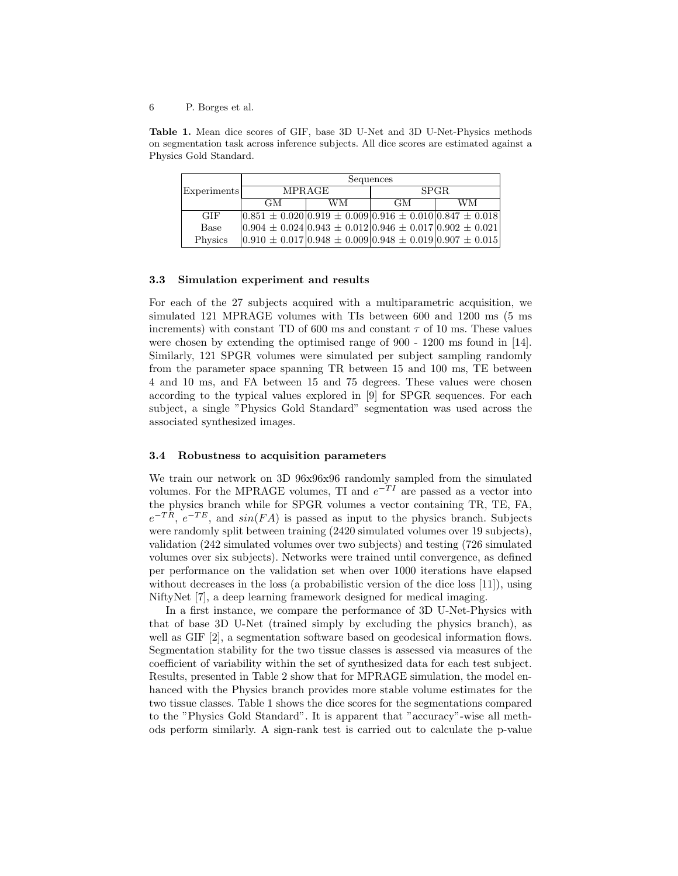Table 1. Mean dice scores of GIF, base 3D U-Net and 3D U-Net-Physics methods on segmentation task across inference subjects. All dice scores are estimated against a Physics Gold Standard.

| <b>Experiments</b> | Sequences |    |           |                                                                                 |  |
|--------------------|-----------|----|-----------|---------------------------------------------------------------------------------|--|
|                    | MPRAGE    |    | SPGR.     |                                                                                 |  |
|                    | GМ        | WМ | <b>GM</b> | WМ                                                                              |  |
| <b>GIF</b>         |           |    |           | $[0.851 \pm 0.020]0.919 \pm 0.009]0.916 \pm 0.010]0.847 \pm 0.018$              |  |
| <b>Base</b>        |           |    |           | $[0.904 \pm 0.024]$ $(0.943 \pm 0.012]$ $(0.946 \pm 0.017)$ $(0.902 \pm 0.021)$ |  |
| Physics            |           |    |           | $[0.910 \pm 0.017]$ 0.948 $\pm$ 0.009 $[0.948 \pm 0.019]$ 0.907 $\pm$ 0.015     |  |

#### 3.3 Simulation experiment and results

For each of the 27 subjects acquired with a multiparametric acquisition, we simulated 121 MPRAGE volumes with TIs between 600 and 1200 ms (5 ms increments) with constant TD of 600 ms and constant  $\tau$  of 10 ms. These values were chosen by extending the optimised range of 900 - 1200 ms found in [14]. Similarly, 121 SPGR volumes were simulated per subject sampling randomly from the parameter space spanning TR between 15 and 100 ms, TE between 4 and 10 ms, and FA between 15 and 75 degrees. These values were chosen according to the typical values explored in [9] for SPGR sequences. For each subject, a single "Physics Gold Standard" segmentation was used across the associated synthesized images.

### 3.4 Robustness to acquisition parameters

We train our network on 3D 96x96x96 randomly sampled from the simulated volumes. For the MPRAGE volumes, TI and  $e^{-TI}$  are passed as a vector into the physics branch while for SPGR volumes a vector containing TR, TE, FA,  $e^{-TR}$ ,  $e^{-TE}$ , and  $sin(FA)$  is passed as input to the physics branch. Subjects were randomly split between training (2420 simulated volumes over 19 subjects), validation (242 simulated volumes over two subjects) and testing (726 simulated volumes over six subjects). Networks were trained until convergence, as defined per performance on the validation set when over 1000 iterations have elapsed without decreases in the loss (a probabilistic version of the dice loss [11]), using NiftyNet [7], a deep learning framework designed for medical imaging.

In a first instance, we compare the performance of 3D U-Net-Physics with that of base 3D U-Net (trained simply by excluding the physics branch), as well as GIF [2], a segmentation software based on geodesical information flows. Segmentation stability for the two tissue classes is assessed via measures of the coefficient of variability within the set of synthesized data for each test subject. Results, presented in Table 2 show that for MPRAGE simulation, the model enhanced with the Physics branch provides more stable volume estimates for the two tissue classes. Table 1 shows the dice scores for the segmentations compared to the "Physics Gold Standard". It is apparent that "accuracy"-wise all methods perform similarly. A sign-rank test is carried out to calculate the p-value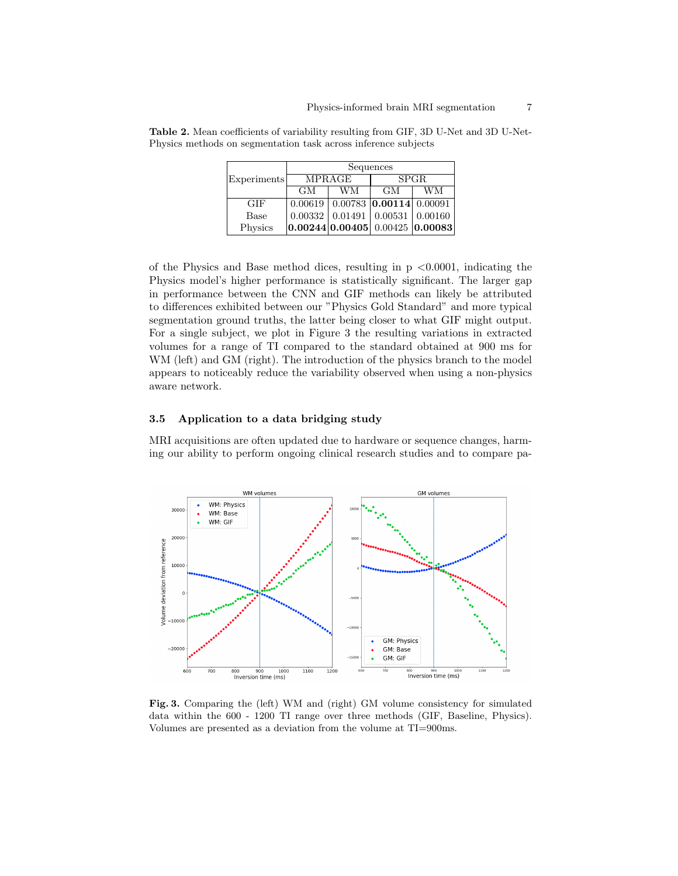|             | Sequences |                                   |                                   |                                                                   |  |
|-------------|-----------|-----------------------------------|-----------------------------------|-------------------------------------------------------------------|--|
| Experiments | MPRAGE    |                                   | SPGR.                             |                                                                   |  |
|             | GM.       | WМ                                | GM.                               | WМ                                                                |  |
| <b>GIF</b>  |           |                                   | $0.00619$ 0.00783 0.00114 0.00091 |                                                                   |  |
| Base        |           | $0.00332$   $0.01491$   $0.00531$ |                                   | 0.00160                                                           |  |
| Physics     |           |                                   |                                   | $\vert 0.00244 \vert 0.00405 \vert$ 0.00425 $\vert 0.00083 \vert$ |  |

Table 2. Mean coefficients of variability resulting from GIF, 3D U-Net and 3D U-Net-Physics methods on segmentation task across inference subjects

of the Physics and Base method dices, resulting in  $p \leq 0.0001$ , indicating the Physics model's higher performance is statistically significant. The larger gap in performance between the CNN and GIF methods can likely be attributed to differences exhibited between our "Physics Gold Standard" and more typical segmentation ground truths, the latter being closer to what GIF might output. For a single subject, we plot in Figure 3 the resulting variations in extracted volumes for a range of TI compared to the standard obtained at 900 ms for WM (left) and GM (right). The introduction of the physics branch to the model appears to noticeably reduce the variability observed when using a non-physics aware network.

### 3.5 Application to a data bridging study

MRI acquisitions are often updated due to hardware or sequence changes, harming our ability to perform ongoing clinical research studies and to compare pa-



Fig. 3. Comparing the (left) WM and (right) GM volume consistency for simulated data within the 600 - 1200 TI range over three methods (GIF, Baseline, Physics). Volumes are presented as a deviation from the volume at TI=900ms.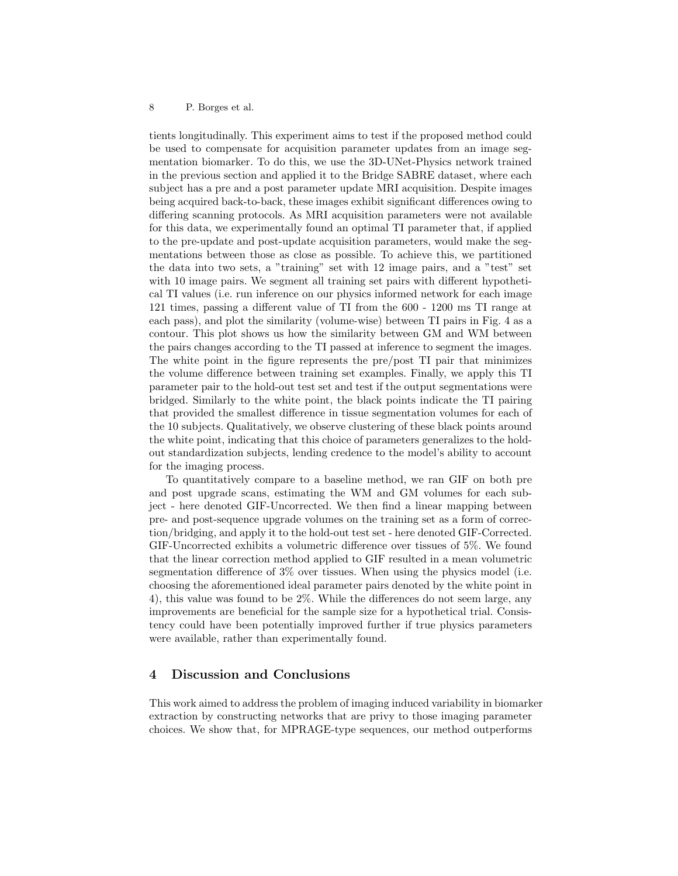tients longitudinally. This experiment aims to test if the proposed method could be used to compensate for acquisition parameter updates from an image segmentation biomarker. To do this, we use the 3D-UNet-Physics network trained in the previous section and applied it to the Bridge SABRE dataset, where each subject has a pre and a post parameter update MRI acquisition. Despite images being acquired back-to-back, these images exhibit significant differences owing to differing scanning protocols. As MRI acquisition parameters were not available for this data, we experimentally found an optimal TI parameter that, if applied to the pre-update and post-update acquisition parameters, would make the segmentations between those as close as possible. To achieve this, we partitioned the data into two sets, a "training" set with 12 image pairs, and a "test" set with 10 image pairs. We segment all training set pairs with different hypothetical TI values (i.e. run inference on our physics informed network for each image 121 times, passing a different value of TI from the 600 - 1200 ms TI range at each pass), and plot the similarity (volume-wise) between TI pairs in Fig. 4 as a contour. This plot shows us how the similarity between GM and WM between the pairs changes according to the TI passed at inference to segment the images. The white point in the figure represents the pre/post TI pair that minimizes the volume difference between training set examples. Finally, we apply this TI parameter pair to the hold-out test set and test if the output segmentations were bridged. Similarly to the white point, the black points indicate the TI pairing that provided the smallest difference in tissue segmentation volumes for each of the 10 subjects. Qualitatively, we observe clustering of these black points around the white point, indicating that this choice of parameters generalizes to the holdout standardization subjects, lending credence to the model's ability to account for the imaging process.

To quantitatively compare to a baseline method, we ran GIF on both pre and post upgrade scans, estimating the WM and GM volumes for each subject - here denoted GIF-Uncorrected. We then find a linear mapping between pre- and post-sequence upgrade volumes on the training set as a form of correction/bridging, and apply it to the hold-out test set - here denoted GIF-Corrected. GIF-Uncorrected exhibits a volumetric difference over tissues of 5%. We found that the linear correction method applied to GIF resulted in a mean volumetric segmentation difference of 3% over tissues. When using the physics model (i.e. choosing the aforementioned ideal parameter pairs denoted by the white point in 4), this value was found to be 2%. While the differences do not seem large, any improvements are beneficial for the sample size for a hypothetical trial. Consistency could have been potentially improved further if true physics parameters were available, rather than experimentally found.

## 4 Discussion and Conclusions

This work aimed to address the problem of imaging induced variability in biomarker extraction by constructing networks that are privy to those imaging parameter choices. We show that, for MPRAGE-type sequences, our method outperforms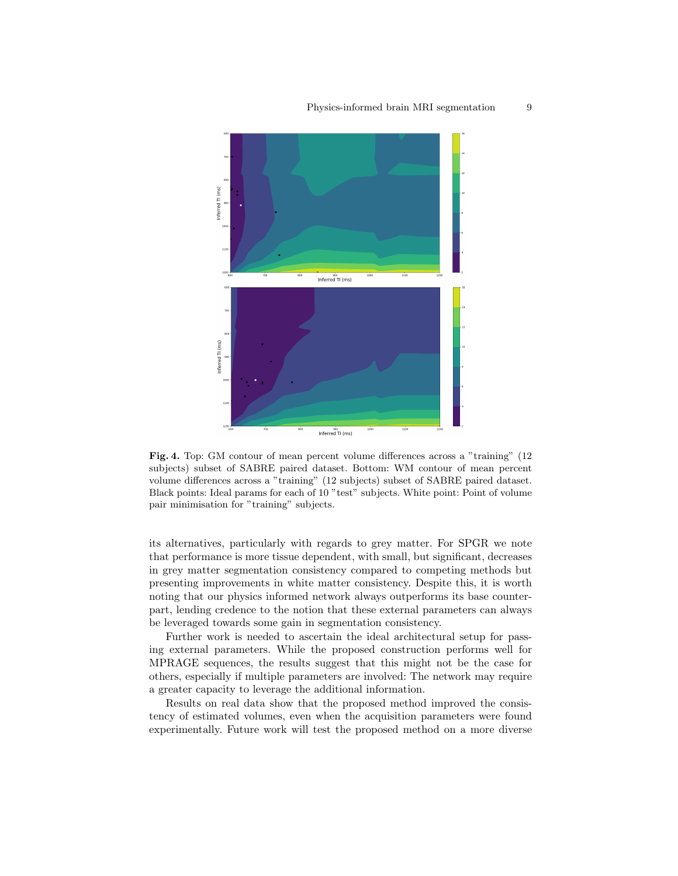

Fig. 4. Top: GM contour of mean percent volume differences across a "training" (12 subjects) subset of SABRE paired dataset. Bottom: WM contour of mean percent volume differences across a "training" (12 subjects) subset of SABRE paired dataset. Black points: Ideal params for each of 10 "test" subjects. White point: Point of volume pair minimisation for "training" subjects.

its alternatives, particularly with regards to grey matter. For SPGR we note that performance is more tissue dependent, with small, but significant, decreases in grey matter segmentation consistency compared to competing methods but presenting improvements in white matter consistency. Despite this, it is worth noting that our physics informed network always outperforms its base counterpart, lending credence to the notion that these external parameters can always be leveraged towards some gain in segmentation consistency.

Further work is needed to ascertain the ideal architectural setup for passing external parameters. While the proposed construction performs well for MPRAGE sequences, the results suggest that this might not be the case for others, especially if multiple parameters are involved: The network may require a greater capacity to leverage the additional information.

Results on real data show that the proposed method improved the consistency of estimated volumes, even when the acquisition parameters were found experimentally. Future work will test the proposed method on a more diverse